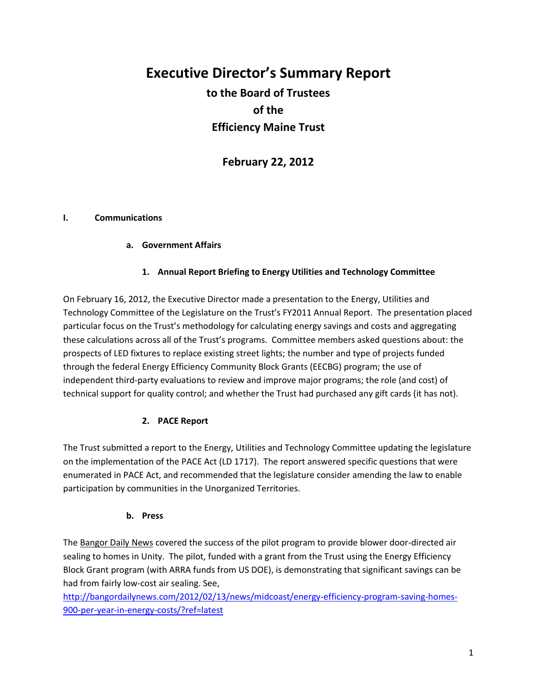# **Executive Director's Summary Report to the Board of Trustees of the Efficiency Maine Trust**

**February 22, 2012**

# **I. Communications**

# **a. Government Affairs**

# **1. Annual Report Briefing to Energy Utilities and Technology Committee**

On February 16, 2012, the Executive Director made a presentation to the Energy, Utilities and Technology Committee of the Legislature on the Trust's FY2011 Annual Report. The presentation placed particular focus on the Trust's methodology for calculating energy savings and costs and aggregating these calculations across all of the Trust's programs. Committee members asked questions about: the prospects of LED fixtures to replace existing street lights; the number and type of projects funded through the federal Energy Efficiency Community Block Grants (EECBG) program; the use of independent third-party evaluations to review and improve major programs; the role (and cost) of technical support for quality control; and whether the Trust had purchased any gift cards (it has not).

# **2. PACE Report**

The Trust submitted a report to the Energy, Utilities and Technology Committee updating the legislature on the implementation of the PACE Act (LD 1717). The report answered specific questions that were enumerated in PACE Act, and recommended that the legislature consider amending the law to enable participation by communities in the Unorganized Territories.

# **b. Press**

The Bangor Daily News covered the success of the pilot program to provide blower door-directed air sealing to homes in Unity. The pilot, funded with a grant from the Trust using the Energy Efficiency Block Grant program (with ARRA funds from US DOE), is demonstrating that significant savings can be had from fairly low-cost air sealing. See,

[http://bangordailynews.com/2012/02/13/news/midcoast/energy-efficiency-program-saving-homes-](http://bangordailynews.com/2012/02/13/news/midcoast/energy-efficiency-program-saving-homes-900-per-year-in-energy-costs/?ref=latest)[900-per-year-in-energy-costs/?ref=latest](http://bangordailynews.com/2012/02/13/news/midcoast/energy-efficiency-program-saving-homes-900-per-year-in-energy-costs/?ref=latest)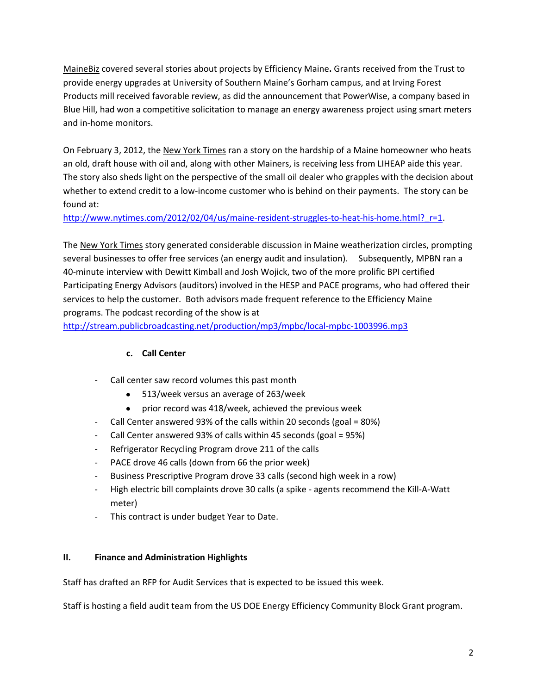MaineBiz covered several stories about projects by Efficiency Maine**.** Grants received from the Trust to provide energy upgrades at University of Southern Maine's Gorham campus, and at Irving Forest Products mill received favorable review, as did the announcement that PowerWise, a company based in Blue Hill, had won a competitive solicitation to manage an energy awareness project using smart meters and in-home monitors.

On February 3, 2012, the New York Times ran a story on the hardship of a Maine homeowner who heats an old, draft house with oil and, along with other Mainers, is receiving less from LIHEAP aide this year. The story also sheds light on the perspective of the small oil dealer who grapples with the decision about whether to extend credit to a low-income customer who is behind on their payments. The story can be found at:

http://www.nytimes.com/2012/02/04/us/maine-resident-struggles-to-heat-his-home.html? r=1.

The New York Times story generated considerable discussion in Maine weatherization circles, prompting several businesses to offer free services (an energy audit and insulation). Subsequently, MPBN ran a 40-minute interview with Dewitt Kimball and Josh Wojick, two of the more prolific BPI certified Participating Energy Advisors (auditors) involved in the HESP and PACE programs, who had offered their services to help the customer. Both advisors made frequent reference to the Efficiency Maine programs. The podcast recording of the show is at

<http://stream.publicbroadcasting.net/production/mp3/mpbc/local-mpbc-1003996.mp3>

# **c. Call Center**

- Call center saw record volumes this past month
	- 513/week versus an average of 263/week  $\bullet$
	- prior record was 418/week, achieved the previous week
- Call Center answered 93% of the calls within 20 seconds (goal = 80%)
- Call Center answered 93% of calls within 45 seconds (goal = 95%)
- Refrigerator Recycling Program drove 211 of the calls
- PACE drove 46 calls (down from 66 the prior week)
- Business Prescriptive Program drove 33 calls (second high week in a row)
- High electric bill complaints drove 30 calls (a spike agents recommend the Kill-A-Watt meter)
- This contract is under budget Year to Date.

# **II. Finance and Administration Highlights**

Staff has drafted an RFP for Audit Services that is expected to be issued this week.

Staff is hosting a field audit team from the US DOE Energy Efficiency Community Block Grant program.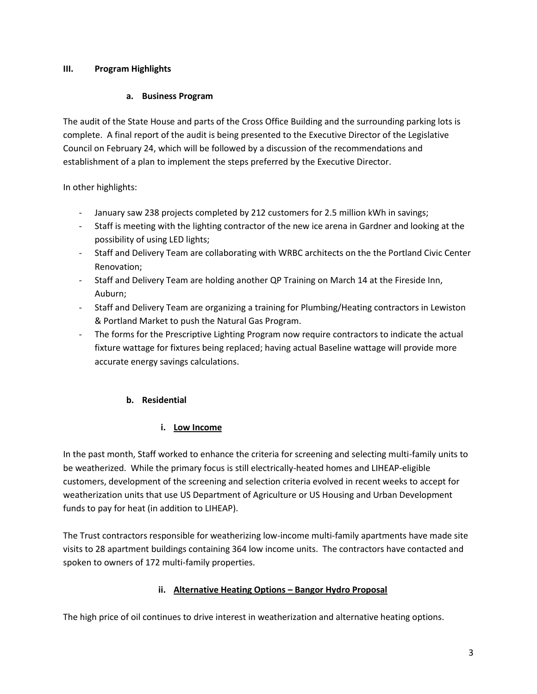# **III. Program Highlights**

# **a. Business Program**

The audit of the State House and parts of the Cross Office Building and the surrounding parking lots is complete. A final report of the audit is being presented to the Executive Director of the Legislative Council on February 24, which will be followed by a discussion of the recommendations and establishment of a plan to implement the steps preferred by the Executive Director.

In other highlights:

- January saw 238 projects completed by 212 customers for 2.5 million kWh in savings;
- Staff is meeting with the lighting contractor of the new ice arena in Gardner and looking at the possibility of using LED lights;
- Staff and Delivery Team are collaborating with WRBC architects on the the Portland Civic Center Renovation;
- Staff and Delivery Team are holding another QP Training on March 14 at the Fireside Inn, Auburn;
- Staff and Delivery Team are organizing a training for Plumbing/Heating contractors in Lewiston & Portland Market to push the Natural Gas Program.
- The forms for the Prescriptive Lighting Program now require contractors to indicate the actual fixture wattage for fixtures being replaced; having actual Baseline wattage will provide more accurate energy savings calculations.

# **b. Residential**

# **i. Low Income**

In the past month, Staff worked to enhance the criteria for screening and selecting multi-family units to be weatherized. While the primary focus is still electrically-heated homes and LIHEAP-eligible customers, development of the screening and selection criteria evolved in recent weeks to accept for weatherization units that use US Department of Agriculture or US Housing and Urban Development funds to pay for heat (in addition to LIHEAP).

The Trust contractors responsible for weatherizing low-income multi-family apartments have made site visits to 28 apartment buildings containing 364 low income units. The contractors have contacted and spoken to owners of 172 multi-family properties.

# **ii. Alternative Heating Options – Bangor Hydro Proposal**

The high price of oil continues to drive interest in weatherization and alternative heating options.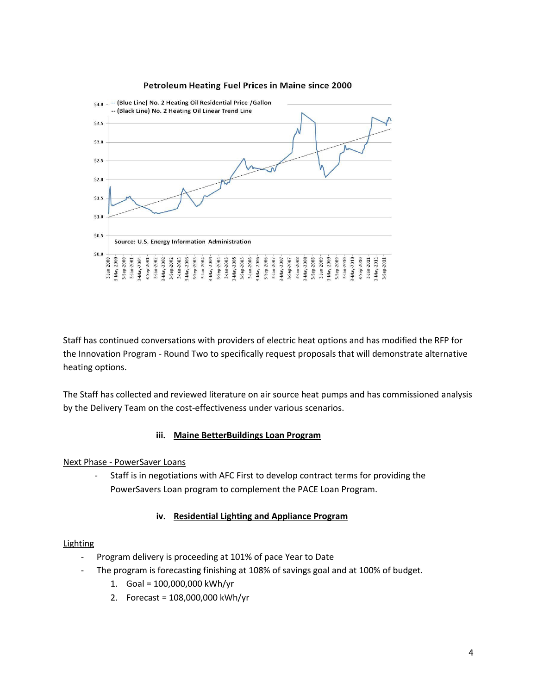#### Petroleum Heating Fuel Prices in Maine since 2000



Staff has continued conversations with providers of electric heat options and has modified the RFP for the Innovation Program - Round Two to specifically request proposals that will demonstrate alternative heating options.

The Staff has collected and reviewed literature on air source heat pumps and has commissioned analysis by the Delivery Team on the cost-effectiveness under various scenarios.

### **iii. Maine BetterBuildings Loan Program**

### Next Phase - PowerSaver Loans

- Staff is in negotiations with AFC First to develop contract terms for providing the PowerSavers Loan program to complement the PACE Loan Program.

### **iv. Residential Lighting and Appliance Program**

### Lighting

- Program delivery is proceeding at 101% of pace Year to Date
- The program is forecasting finishing at 108% of savings goal and at 100% of budget.
	- 1. Goal = 100,000,000 kWh/yr
	- 2. Forecast = 108,000,000 kWh/yr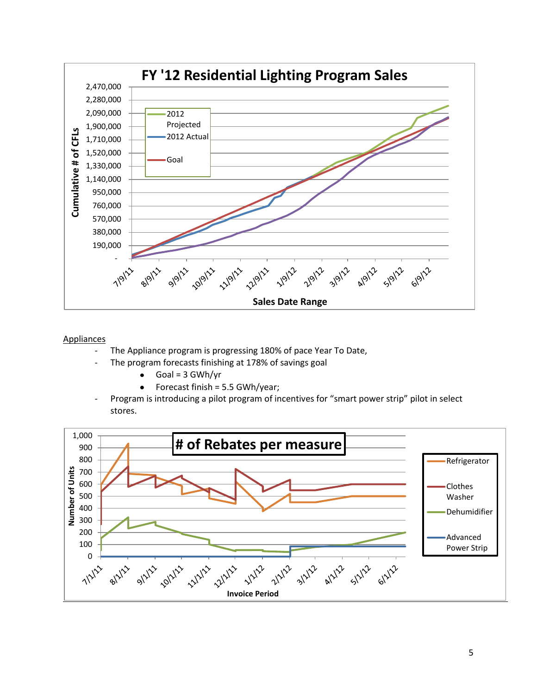

### Appliances

- The Appliance program is progressing 180% of pace Year To Date,
- The program forecasts finishing at 178% of savings goal
	- $\bullet$  $Goal = 3 GWh/yr$
	- Forecast finish = 5.5 GWh/year;  $\bullet$
- Program is introducing a pilot program of incentives for "smart power strip" pilot in select stores.